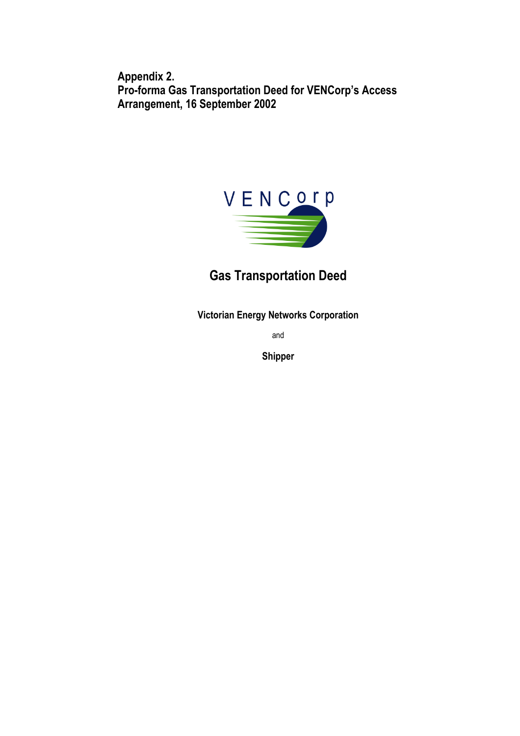**Appendix 2. Pro-forma Gas Transportation Deed for VENCorp's Access Arrangement, 16 September 2002** 



# **Gas Transportation Deed**

**Victorian Energy Networks Corporation** 

and

**Shipper**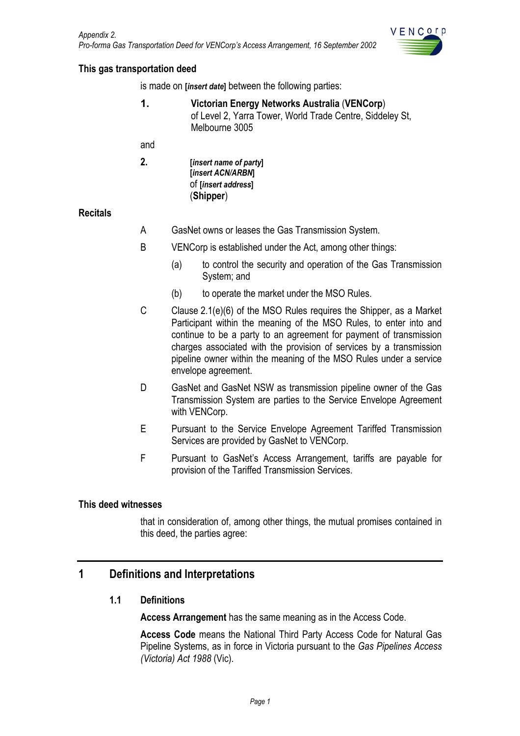

#### <span id="page-1-0"></span>**This gas transportation deed**

is made on **[***insert date***]** between the following parties:

**1. Victorian Energy Networks Australia** (**VENCorp**) of Level 2, Yarra Tower, World Trade Centre, Siddeley St, Melbourne 3005

and

**2. [***insert name of party***] [***insert ACN/ARBN***]** of **[***insert address***]** (**Shipper**)

#### **Recitals**

- A GasNet owns or leases the Gas Transmission System.
- B VENCorp is established under the Act, among other things:
	- (a) to control the security and operation of the Gas Transmission System; and
	- (b) to operate the market under the MSO Rules.
- C Clause 2.1(e)(6) of the MSO Rules requires the Shipper, as a Market Participant within the meaning of the MSO Rules, to enter into and continue to be a party to an agreement for payment of transmission charges associated with the provision of services by a transmission pipeline owner within the meaning of the MSO Rules under a service envelope agreement.
- D GasNet and GasNet NSW as transmission pipeline owner of the Gas Transmission System are parties to the Service Envelope Agreement with VENCorp.
- E Pursuant to the Service Envelope Agreement Tariffed Transmission Services are provided by GasNet to VENCorp.
- F Pursuant to GasNet's Access Arrangement, tariffs are payable for provision of the Tariffed Transmission Services.

#### **This deed witnesses**

that in consideration of, among other things, the mutual promises contained in this deed, the parties agree:

## **1 Definitions and Interpretations**

#### **1.1 Definitions**

**Access Arrangement** has the same meaning as in the Access Code.

**Access Code** means the National Third Party Access Code for Natural Gas Pipeline Systems, as in force in Victoria pursuant to the *Gas Pipelines Access (Victoria) Act 1988* (Vic).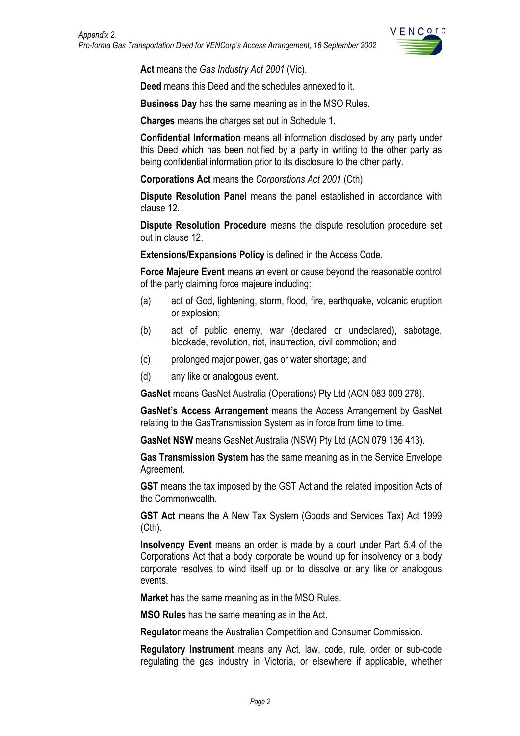

**Act** means the *Gas Industry Act 2001* (Vic).

**Deed** means this Deed and the schedules annexed to it.

**Business Day** has the same meaning as in the MSO Rules.

**Charges** means the charges set out in Schedule 1.

**Confidential Information** means all information disclosed by any party under this Deed which has been notified by a party in writing to the other party as being confidential information prior to its disclosure to the other party.

**Corporations Act** means the *Corporations Act 2001* (Cth).

**Dispute Resolution Panel** means the panel established in accordance with clause 12.

**Dispute Resolution Procedure** means the dispute resolution procedure set out in clause 12.

**Extensions/Expansions Policy** is defined in the Access Code.

**Force Majeure Event** means an event or cause beyond the reasonable control of the party claiming force majeure including:

- (a) act of God, lightening, storm, flood, fire, earthquake, volcanic eruption or explosion;
- (b) act of public enemy, war (declared or undeclared), sabotage, blockade, revolution, riot, insurrection, civil commotion; and
- (c) prolonged major power, gas or water shortage; and
- (d) any like or analogous event.

**GasNet** means GasNet Australia (Operations) Pty Ltd (ACN 083 009 278).

**GasNet's Access Arrangement** means the Access Arrangement by GasNet relating to the GasTransmission System as in force from time to time.

**GasNet NSW** means GasNet Australia (NSW) Pty Ltd (ACN 079 136 413).

**Gas Transmission System** has the same meaning as in the Service Envelope Agreement.

**GST** means the tax imposed by the GST Act and the related imposition Acts of the Commonwealth.

**GST Act** means the A New Tax System (Goods and Services Tax) Act 1999 (Cth).

**Insolvency Event** means an order is made by a court under Part 5.4 of the Corporations Act that a body corporate be wound up for insolvency or a body corporate resolves to wind itself up or to dissolve or any like or analogous events.

**Market** has the same meaning as in the MSO Rules.

**MSO Rules** has the same meaning as in the Act.

**Regulator** means the Australian Competition and Consumer Commission.

**Regulatory Instrument** means any Act, law, code, rule, order or sub-code regulating the gas industry in Victoria, or elsewhere if applicable, whether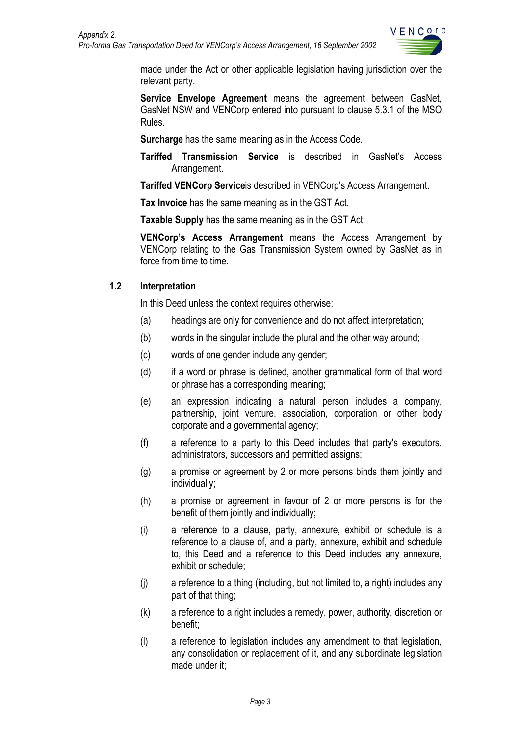

<span id="page-3-0"></span>made under the Act or other applicable legislation having jurisdiction over the relevant party.

**Service Envelope Agreement** means the agreement between GasNet, GasNet NSW and VENCorp entered into pursuant to clause 5.3.1 of the MSO Rules.

**Surcharge** has the same meaning as in the Access Code.

**Tariffed Transmission Service** is described in GasNet's Access Arrangement.

**Tariffed VENCorp Service**is described in VENCorp's Access Arrangement.

**Tax Invoice** has the same meaning as in the GST Act.

**Taxable Supply** has the same meaning as in the GST Act.

**VENCorp's Access Arrangement** means the Access Arrangement by VENCorp relating to the Gas Transmission System owned by GasNet as in force from time to time.

#### **1.2 Interpretation**

In this Deed unless the context requires otherwise:

- (a) headings are only for convenience and do not affect interpretation;
- (b) words in the singular include the plural and the other way around;
- (c) words of one gender include any gender;
- (d) if a word or phrase is defined, another grammatical form of that word or phrase has a corresponding meaning;
- (e) an expression indicating a natural person includes a company, partnership, joint venture, association, corporation or other body corporate and a governmental agency;
- (f) a reference to a party to this Deed includes that party's executors, administrators, successors and permitted assigns;
- (g) a promise or agreement by 2 or more persons binds them jointly and individually;
- (h) a promise or agreement in favour of 2 or more persons is for the benefit of them jointly and individually;
- (i) a reference to a clause, party, annexure, exhibit or schedule is a reference to a clause of, and a party, annexure, exhibit and schedule to, this Deed and a reference to this Deed includes any annexure, exhibit or schedule;
- (j) a reference to a thing (including, but not limited to, a right) includes any part of that thing;
- (k) a reference to a right includes a remedy, power, authority, discretion or benefit;
- (l) a reference to legislation includes any amendment to that legislation, any consolidation or replacement of it, and any subordinate legislation made under it;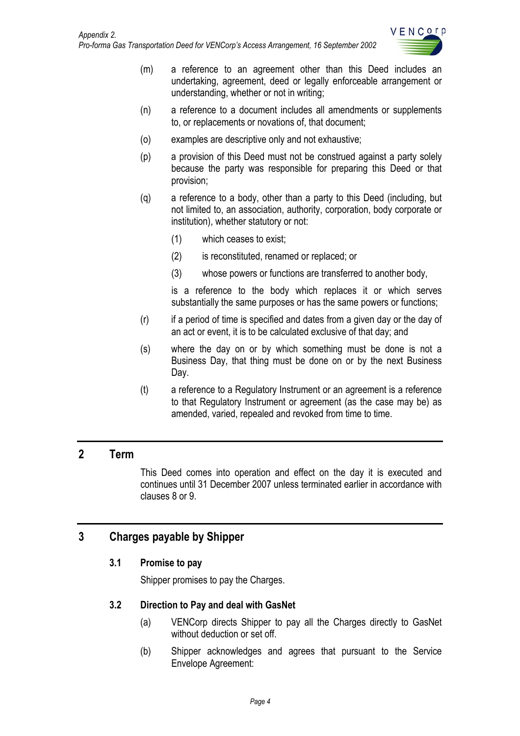

- <span id="page-4-0"></span>(m) a reference to an agreement other than this Deed includes an undertaking, agreement, deed or legally enforceable arrangement or understanding, whether or not in writing;
- (n) a reference to a document includes all amendments or supplements to, or replacements or novations of, that document;
- (o) examples are descriptive only and not exhaustive;
- (p) a provision of this Deed must not be construed against a party solely because the party was responsible for preparing this Deed or that provision;
- (q) a reference to a body, other than a party to this Deed (including, but not limited to, an association, authority, corporation, body corporate or institution), whether statutory or not:
	- (1) which ceases to exist;
	- (2) is reconstituted, renamed or replaced; or
	- (3) whose powers or functions are transferred to another body,

is a reference to the body which replaces it or which serves substantially the same purposes or has the same powers or functions;

- (r) if a period of time is specified and dates from a given day or the day of an act or event, it is to be calculated exclusive of that day; and
- (s) where the day on or by which something must be done is not a Business Day, that thing must be done on or by the next Business Day.
- (t) a reference to a Regulatory Instrument or an agreement is a reference to that Regulatory Instrument or agreement (as the case may be) as amended, varied, repealed and revoked from time to time.

# **2 Term**

This Deed comes into operation and effect on the day it is executed and continues until 31 December 2007 unless terminated earlier in accordance with clauses 8 or 9.

# **3 Charges payable by Shipper**

#### **3.1 Promise to pay**

Shipper promises to pay the Charges.

#### **3.2 Direction to Pay and deal with GasNet**

- (a) VENCorp directs Shipper to pay all the Charges directly to GasNet without deduction or set off.
- (b) Shipper acknowledges and agrees that pursuant to the Service Envelope Agreement: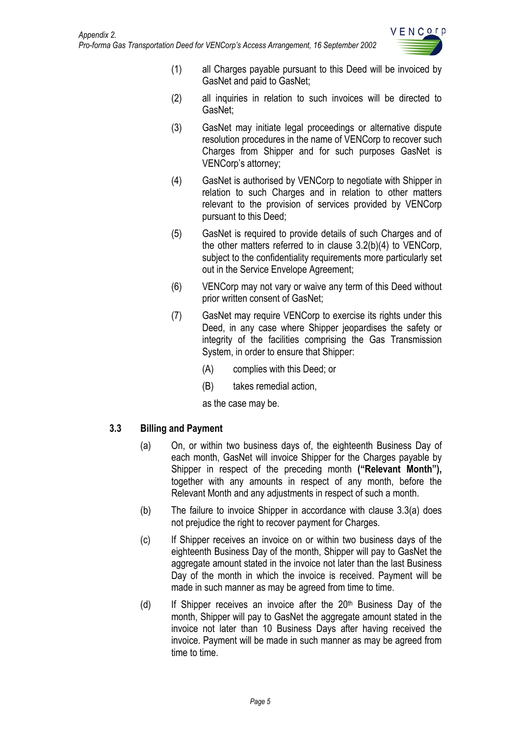

- <span id="page-5-0"></span>(1) all Charges payable pursuant to this Deed will be invoiced by GasNet and paid to GasNet;
- (2) all inquiries in relation to such invoices will be directed to GasNet;
- (3) GasNet may initiate legal proceedings or alternative dispute resolution procedures in the name of VENCorp to recover such Charges from Shipper and for such purposes GasNet is VENCorp's attorney;
- (4) GasNet is authorised by VENCorp to negotiate with Shipper in relation to such Charges and in relation to other matters relevant to the provision of services provided by VENCorp pursuant to this Deed;
- (5) GasNet is required to provide details of such Charges and of the other matters referred to in clause 3.2(b)(4) to VENCorp, subject to the confidentiality requirements more particularly set out in the Service Envelope Agreement;
- (6) VENCorp may not vary or waive any term of this Deed without prior written consent of GasNet;
- (7) GasNet may require VENCorp to exercise its rights under this Deed, in any case where Shipper jeopardises the safety or integrity of the facilities comprising the Gas Transmission System, in order to ensure that Shipper:
	- (A) complies with this Deed; or
	- (B) takes remedial action,

as the case may be.

## **3.3 Billing and Payment**

- (a) On, or within two business days of, the eighteenth Business Day of each month, GasNet will invoice Shipper for the Charges payable by Shipper in respect of the preceding month **("Relevant Month"),**  together with any amounts in respect of any month, before the Relevant Month and any adjustments in respect of such a month.
- (b) The failure to invoice Shipper in accordance with clause 3.3(a) does not prejudice the right to recover payment for Charges.
- (c) If Shipper receives an invoice on or within two business days of the eighteenth Business Day of the month, Shipper will pay to GasNet the aggregate amount stated in the invoice not later than the last Business Day of the month in which the invoice is received. Payment will be made in such manner as may be agreed from time to time.
- (d) If Shipper receives an invoice after the  $20<sup>th</sup>$  Business Day of the month, Shipper will pay to GasNet the aggregate amount stated in the invoice not later than 10 Business Days after having received the invoice. Payment will be made in such manner as may be agreed from time to time.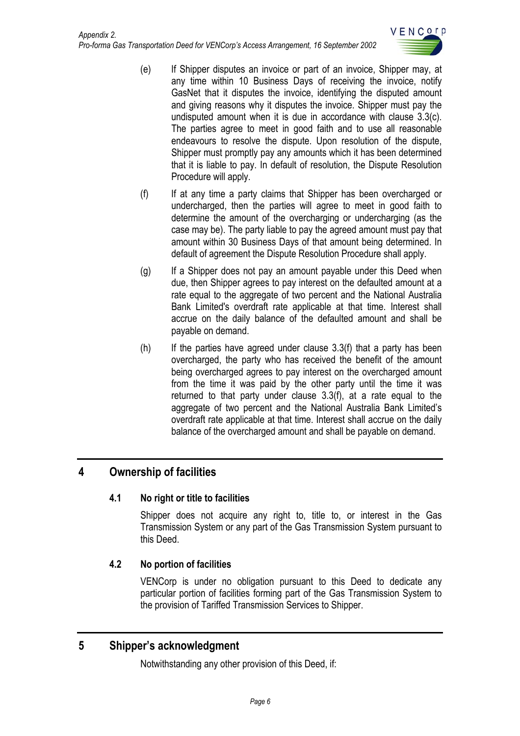

- <span id="page-6-0"></span>(e) If Shipper disputes an invoice or part of an invoice, Shipper may, at any time within 10 Business Days of receiving the invoice, notify GasNet that it disputes the invoice, identifying the disputed amount and giving reasons why it disputes the invoice. Shipper must pay the undisputed amount when it is due in accordance with clause 3.3(c). The parties agree to meet in good faith and to use all reasonable endeavours to resolve the dispute. Upon resolution of the dispute, Shipper must promptly pay any amounts which it has been determined that it is liable to pay. In default of resolution, the Dispute Resolution Procedure will apply.
- (f) If at any time a party claims that Shipper has been overcharged or undercharged, then the parties will agree to meet in good faith to determine the amount of the overcharging or undercharging (as the case may be). The party liable to pay the agreed amount must pay that amount within 30 Business Days of that amount being determined. In default of agreement the Dispute Resolution Procedure shall apply.
- (g) If a Shipper does not pay an amount payable under this Deed when due, then Shipper agrees to pay interest on the defaulted amount at a rate equal to the aggregate of two percent and the National Australia Bank Limited's overdraft rate applicable at that time. Interest shall accrue on the daily balance of the defaulted amount and shall be payable on demand.
- $(h)$  If the parties have agreed under clause 3.3(f) that a party has been overcharged, the party who has received the benefit of the amount being overcharged agrees to pay interest on the overcharged amount from the time it was paid by the other party until the time it was returned to that party under clause 3.3(f), at a rate equal to the aggregate of two percent and the National Australia Bank Limited's overdraft rate applicable at that time. Interest shall accrue on the daily balance of the overcharged amount and shall be payable on demand.

# **4 Ownership of facilities**

## **4.1 No right or title to facilities**

Shipper does not acquire any right to, title to, or interest in the Gas Transmission System or any part of the Gas Transmission System pursuant to this Deed.

## **4.2 No portion of facilities**

VENCorp is under no obligation pursuant to this Deed to dedicate any particular portion of facilities forming part of the Gas Transmission System to the provision of Tariffed Transmission Services to Shipper.

# **5 Shipper's acknowledgment**

Notwithstanding any other provision of this Deed, if: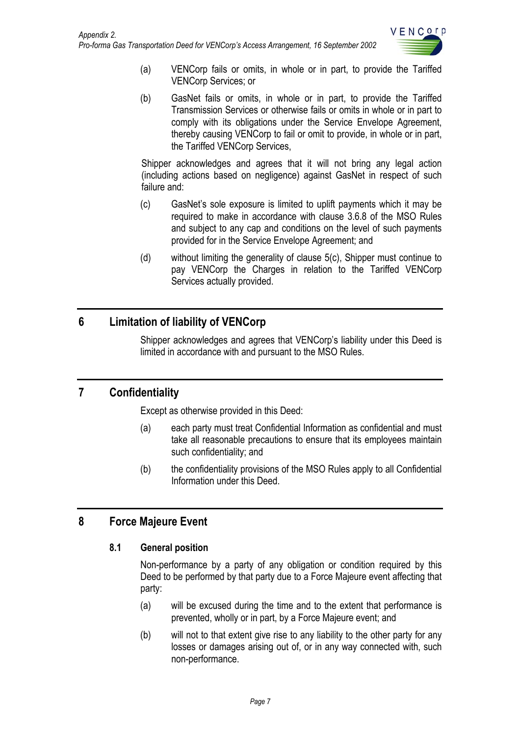

- <span id="page-7-0"></span>(a) VENCorp fails or omits, in whole or in part, to provide the Tariffed VENCorp Services; or
- (b) GasNet fails or omits, in whole or in part, to provide the Tariffed Transmission Services or otherwise fails or omits in whole or in part to comply with its obligations under the Service Envelope Agreement, thereby causing VENCorp to fail or omit to provide, in whole or in part, the Tariffed VENCorp Services,

Shipper acknowledges and agrees that it will not bring any legal action (including actions based on negligence) against GasNet in respect of such failure and:

- (c) GasNet's sole exposure is limited to uplift payments which it may be required to make in accordance with clause 3.6.8 of the MSO Rules and subject to any cap and conditions on the level of such payments provided for in the Service Envelope Agreement; and
- (d) without limiting the generality of clause 5(c), Shipper must continue to pay VENCorp the Charges in relation to the Tariffed VENCorp Services actually provided.

# **6 Limitation of liability of VENCorp**

Shipper acknowledges and agrees that VENCorp's liability under this Deed is limited in accordance with and pursuant to the MSO Rules.

# **7 Confidentiality**

Except as otherwise provided in this Deed:

- (a) each party must treat Confidential Information as confidential and must take all reasonable precautions to ensure that its employees maintain such confidentiality; and
- (b) the confidentiality provisions of the MSO Rules apply to all Confidential Information under this Deed.

# **8 Force Majeure Event**

## **8.1 General position**

Non-performance by a party of any obligation or condition required by this Deed to be performed by that party due to a Force Majeure event affecting that party:

- (a) will be excused during the time and to the extent that performance is prevented, wholly or in part, by a Force Majeure event; and
- (b) will not to that extent give rise to any liability to the other party for any losses or damages arising out of, or in any way connected with, such non-performance.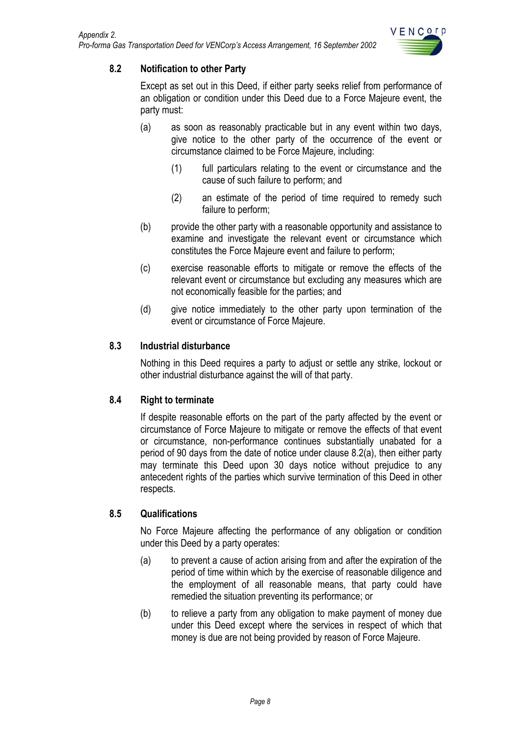

## <span id="page-8-0"></span>**8.2 Notification to other Party**

Except as set out in this Deed, if either party seeks relief from performance of an obligation or condition under this Deed due to a Force Majeure event, the party must:

- (a) as soon as reasonably practicable but in any event within two days, give notice to the other party of the occurrence of the event or circumstance claimed to be Force Majeure, including:
	- (1) full particulars relating to the event or circumstance and the cause of such failure to perform; and
	- (2) an estimate of the period of time required to remedy such failure to perform;
- (b) provide the other party with a reasonable opportunity and assistance to examine and investigate the relevant event or circumstance which constitutes the Force Majeure event and failure to perform;
- (c) exercise reasonable efforts to mitigate or remove the effects of the relevant event or circumstance but excluding any measures which are not economically feasible for the parties; and
- (d) give notice immediately to the other party upon termination of the event or circumstance of Force Majeure.

#### **8.3 Industrial disturbance**

Nothing in this Deed requires a party to adjust or settle any strike, lockout or other industrial disturbance against the will of that party.

#### **8.4 Right to terminate**

If despite reasonable efforts on the part of the party affected by the event or circumstance of Force Majeure to mitigate or remove the effects of that event or circumstance, non-performance continues substantially unabated for a period of 90 days from the date of notice under clause 8.2(a), then either party may terminate this Deed upon 30 days notice without prejudice to any antecedent rights of the parties which survive termination of this Deed in other respects.

## **8.5 Qualifications**

No Force Majeure affecting the performance of any obligation or condition under this Deed by a party operates:

- (a) to prevent a cause of action arising from and after the expiration of the period of time within which by the exercise of reasonable diligence and the employment of all reasonable means, that party could have remedied the situation preventing its performance; or
- (b) to relieve a party from any obligation to make payment of money due under this Deed except where the services in respect of which that money is due are not being provided by reason of Force Majeure.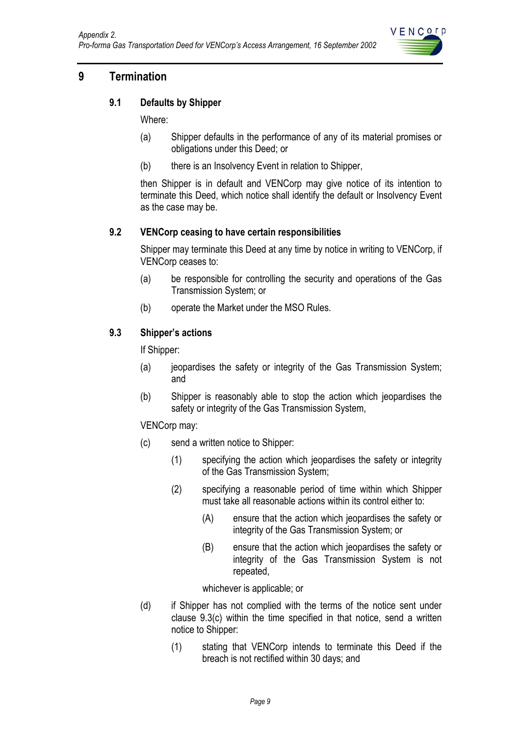

# <span id="page-9-0"></span>**9 Termination**

#### **9.1 Defaults by Shipper**

Where:

- (a) Shipper defaults in the performance of any of its material promises or obligations under this Deed; or
- (b) there is an Insolvency Event in relation to Shipper,

then Shipper is in default and VENCorp may give notice of its intention to terminate this Deed, which notice shall identify the default or Insolvency Event as the case may be.

#### **9.2 VENCorp ceasing to have certain responsibilities**

Shipper may terminate this Deed at any time by notice in writing to VENCorp, if VENCorp ceases to:

- (a) be responsible for controlling the security and operations of the Gas Transmission System; or
- (b) operate the Market under the MSO Rules.

#### **9.3 Shipper's actions**

If Shipper:

- (a) jeopardises the safety or integrity of the Gas Transmission System; and
- (b) Shipper is reasonably able to stop the action which jeopardises the safety or integrity of the Gas Transmission System,

VENCorp may:

- (c) send a written notice to Shipper:
	- (1) specifying the action which jeopardises the safety or integrity of the Gas Transmission System;
	- (2) specifying a reasonable period of time within which Shipper must take all reasonable actions within its control either to:
		- (A) ensure that the action which jeopardises the safety or integrity of the Gas Transmission System; or
		- (B) ensure that the action which jeopardises the safety or integrity of the Gas Transmission System is not repeated,

whichever is applicable; or

- (d) if Shipper has not complied with the terms of the notice sent under clause 9.3(c) within the time specified in that notice, send a written notice to Shipper:
	- (1) stating that VENCorp intends to terminate this Deed if the breach is not rectified within 30 days; and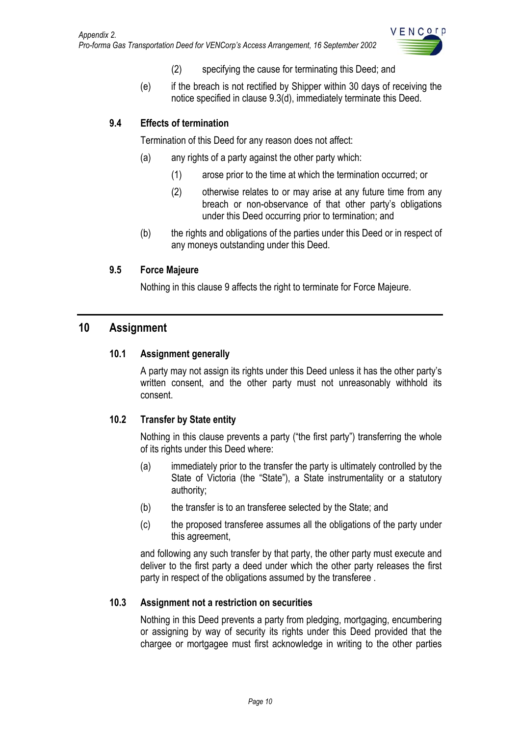

- (2) specifying the cause for terminating this Deed; and
- (e) if the breach is not rectified by Shipper within 30 days of receiving the notice specified in clause 9.3(d), immediately terminate this Deed.

# <span id="page-10-0"></span>**9.4 Effects of termination**

Termination of this Deed for any reason does not affect:

- (a) any rights of a party against the other party which:
	- (1) arose prior to the time at which the termination occurred; or
	- (2) otherwise relates to or may arise at any future time from any breach or non-observance of that other party's obligations under this Deed occurring prior to termination; and
- (b) the rights and obligations of the parties under this Deed or in respect of any moneys outstanding under this Deed.

## **9.5 Force Majeure**

Nothing in this clause 9 affects the right to terminate for Force Majeure.

# **10 Assignment**

#### **10.1 Assignment generally**

A party may not assign its rights under this Deed unless it has the other party's written consent, and the other party must not unreasonably withhold its consent.

## **10.2 Transfer by State entity**

Nothing in this clause prevents a party ("the first party") transferring the whole of its rights under this Deed where:

- (a) immediately prior to the transfer the party is ultimately controlled by the State of Victoria (the "State"), a State instrumentality or a statutory authority;
- (b) the transfer is to an transferee selected by the State; and
- (c) the proposed transferee assumes all the obligations of the party under this agreement,

and following any such transfer by that party, the other party must execute and deliver to the first party a deed under which the other party releases the first party in respect of the obligations assumed by the transferee .

#### **10.3 Assignment not a restriction on securities**

Nothing in this Deed prevents a party from pledging, mortgaging, encumbering or assigning by way of security its rights under this Deed provided that the chargee or mortgagee must first acknowledge in writing to the other parties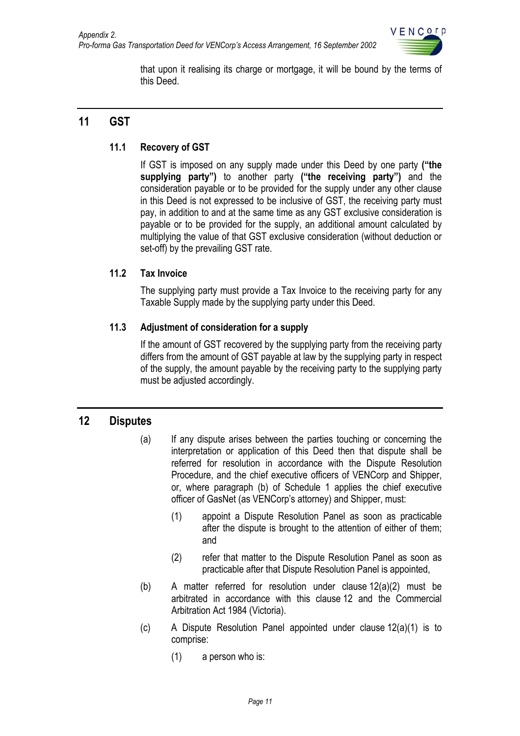

that upon it realising its charge or mortgage, it will be bound by the terms of this Deed.

# <span id="page-11-0"></span>**11 GST**

# **11.1 Recovery of GST**

If GST is imposed on any supply made under this Deed by one party **("the supplying party")** to another party **("the receiving party")** and the consideration payable or to be provided for the supply under any other clause in this Deed is not expressed to be inclusive of GST, the receiving party must pay, in addition to and at the same time as any GST exclusive consideration is payable or to be provided for the supply, an additional amount calculated by multiplying the value of that GST exclusive consideration (without deduction or set-off) by the prevailing GST rate.

## **11.2 Tax Invoice**

The supplying party must provide a Tax Invoice to the receiving party for any Taxable Supply made by the supplying party under this Deed.

## **11.3 Adjustment of consideration for a supply**

If the amount of GST recovered by the supplying party from the receiving party differs from the amount of GST payable at law by the supplying party in respect of the supply, the amount payable by the receiving party to the supplying party must be adjusted accordingly.

## **12 Disputes**

- (a) If any dispute arises between the parties touching or concerning the interpretation or application of this Deed then that dispute shall be referred for resolution in accordance with the Dispute Resolution Procedure, and the chief executive officers of VENCorp and Shipper, or, where paragraph (b) of Schedule 1 applies the chief executive officer of GasNet (as VENCorp's attorney) and Shipper, must:
	- (1) appoint a Dispute Resolution Panel as soon as practicable after the dispute is brought to the attention of either of them; and
	- (2) refer that matter to the Dispute Resolution Panel as soon as practicable after that Dispute Resolution Panel is appointed,
- (b) A matter referred for resolution under clause 12(a)(2) must be arbitrated in accordance with this clause 12 and the Commercial Arbitration Act 1984 (Victoria).
- (c) A Dispute Resolution Panel appointed under clause 12(a)(1) is to comprise:
	- (1) a person who is: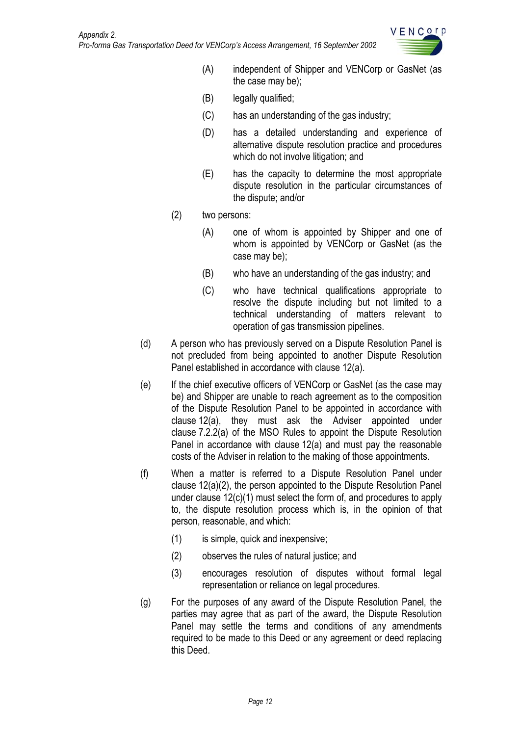

- (A) independent of Shipper and VENCorp or GasNet (as the case may be);
- (B) legally qualified;
- (C) has an understanding of the gas industry;
- (D) has a detailed understanding and experience of alternative dispute resolution practice and procedures which do not involve litigation; and
- (E) has the capacity to determine the most appropriate dispute resolution in the particular circumstances of the dispute; and/or
- (2) two persons:
	- (A) one of whom is appointed by Shipper and one of whom is appointed by VENCorp or GasNet (as the case may be);
	- (B) who have an understanding of the gas industry; and
	- (C) who have technical qualifications appropriate to resolve the dispute including but not limited to a technical understanding of matters relevant to operation of gas transmission pipelines.
- (d) A person who has previously served on a Dispute Resolution Panel is not precluded from being appointed to another Dispute Resolution Panel established in accordance with clause 12(a).
- (e) If the chief executive officers of VENCorp or GasNet (as the case may be) and Shipper are unable to reach agreement as to the composition of the Dispute Resolution Panel to be appointed in accordance with clause 12(a), they must ask the Adviser appointed under clause 7.2.2(a) of the MSO Rules to appoint the Dispute Resolution Panel in accordance with clause 12(a) and must pay the reasonable costs of the Adviser in relation to the making of those appointments.
- (f) When a matter is referred to a Dispute Resolution Panel under clause 12(a)(2), the person appointed to the Dispute Resolution Panel under clause 12(c)(1) must select the form of, and procedures to apply to, the dispute resolution process which is, in the opinion of that person, reasonable, and which:
	- (1) is simple, quick and inexpensive;
	- (2) observes the rules of natural justice; and
	- (3) encourages resolution of disputes without formal legal representation or reliance on legal procedures.
- (g) For the purposes of any award of the Dispute Resolution Panel, the parties may agree that as part of the award, the Dispute Resolution Panel may settle the terms and conditions of any amendments required to be made to this Deed or any agreement or deed replacing this Deed.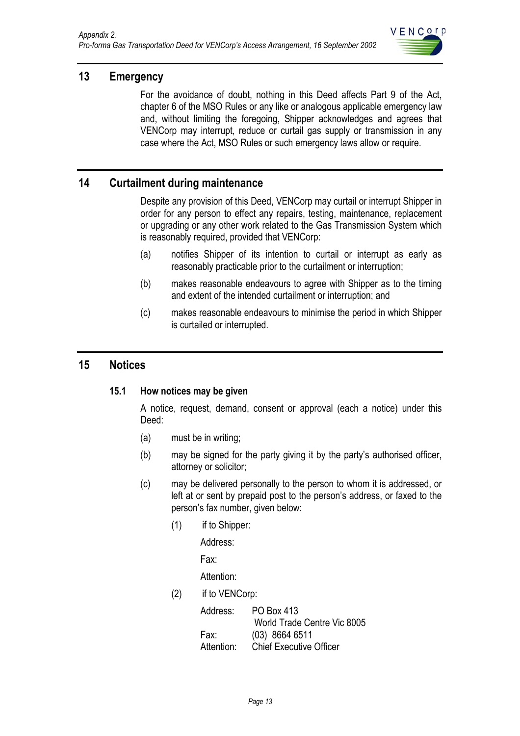

# <span id="page-13-0"></span>**13 Emergency**

For the avoidance of doubt, nothing in this Deed affects Part 9 of the Act, chapter 6 of the MSO Rules or any like or analogous applicable emergency law and, without limiting the foregoing, Shipper acknowledges and agrees that VENCorp may interrupt, reduce or curtail gas supply or transmission in any case where the Act, MSO Rules or such emergency laws allow or require.

# **14 Curtailment during maintenance**

Despite any provision of this Deed, VENCorp may curtail or interrupt Shipper in order for any person to effect any repairs, testing, maintenance, replacement or upgrading or any other work related to the Gas Transmission System which is reasonably required, provided that VENCorp:

- (a) notifies Shipper of its intention to curtail or interrupt as early as reasonably practicable prior to the curtailment or interruption;
- (b) makes reasonable endeavours to agree with Shipper as to the timing and extent of the intended curtailment or interruption; and
- (c) makes reasonable endeavours to minimise the period in which Shipper is curtailed or interrupted.

## **15 Notices**

#### **15.1 How notices may be given**

A notice, request, demand, consent or approval (each a notice) under this Deed:

- (a) must be in writing;
- (b) may be signed for the party giving it by the party's authorised officer, attorney or solicitor;
- (c) may be delivered personally to the person to whom it is addressed, or left at or sent by prepaid post to the person's address, or faxed to the person's fax number, given below:
	- (1) if to Shipper:

Address:

Fax:

Attention:

(2) if to VENCorp:

| Address:   | PO Box 413                     |  |  |
|------------|--------------------------------|--|--|
|            | World Trade Centre Vic 8005    |  |  |
| Fax:       | $(03)$ 8664 6511               |  |  |
| Attention: | <b>Chief Executive Officer</b> |  |  |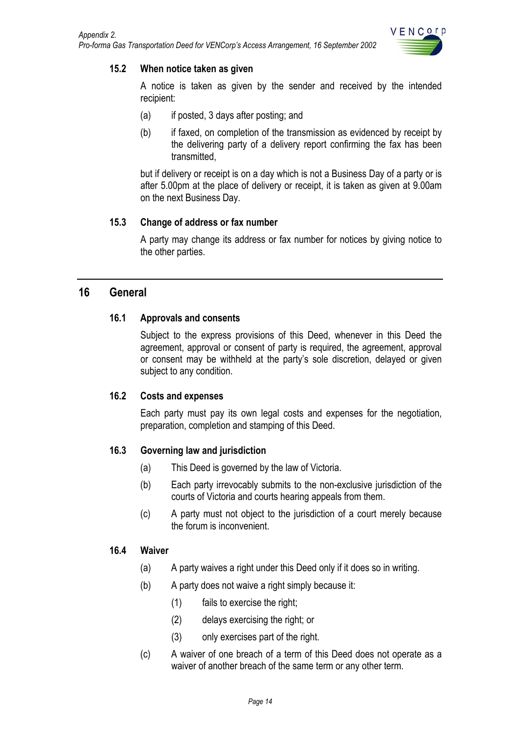

#### <span id="page-14-0"></span>**15.2 When notice taken as given**

A notice is taken as given by the sender and received by the intended recipient:

- (a) if posted, 3 days after posting; and
- (b) if faxed, on completion of the transmission as evidenced by receipt by the delivering party of a delivery report confirming the fax has been transmitted,

but if delivery or receipt is on a day which is not a Business Day of a party or is after 5.00pm at the place of delivery or receipt, it is taken as given at 9.00am on the next Business Day.

#### **15.3 Change of address or fax number**

A party may change its address or fax number for notices by giving notice to the other parties.

## **16 General**

#### **16.1 Approvals and consents**

Subject to the express provisions of this Deed, whenever in this Deed the agreement, approval or consent of party is required, the agreement, approval or consent may be withheld at the party's sole discretion, delayed or given subject to any condition.

#### **16.2 Costs and expenses**

Each party must pay its own legal costs and expenses for the negotiation, preparation, completion and stamping of this Deed.

#### **16.3 Governing law and jurisdiction**

- (a) This Deed is governed by the law of Victoria.
- (b) Each party irrevocably submits to the non-exclusive jurisdiction of the courts of Victoria and courts hearing appeals from them.
- (c) A party must not object to the jurisdiction of a court merely because the forum is inconvenient.

#### **16.4 Waiver**

- (a) A party waives a right under this Deed only if it does so in writing.
- (b) A party does not waive a right simply because it:
	- (1) fails to exercise the right;
	- (2) delays exercising the right; or
	- (3) only exercises part of the right.
- (c) A waiver of one breach of a term of this Deed does not operate as a waiver of another breach of the same term or any other term.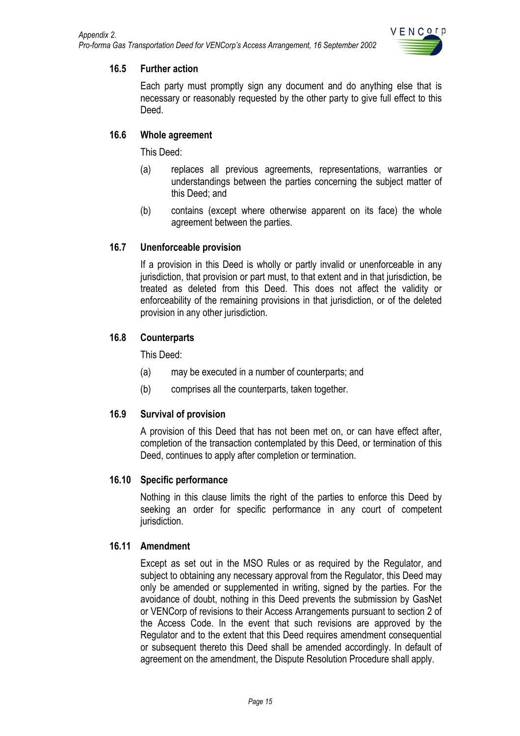

#### <span id="page-15-0"></span>**16.5 Further action**

Each party must promptly sign any document and do anything else that is necessary or reasonably requested by the other party to give full effect to this Deed.

#### **16.6 Whole agreement**

This Deed:

- (a) replaces all previous agreements, representations, warranties or understandings between the parties concerning the subject matter of this Deed; and
- (b) contains (except where otherwise apparent on its face) the whole agreement between the parties.

#### **16.7 Unenforceable provision**

If a provision in this Deed is wholly or partly invalid or unenforceable in any jurisdiction, that provision or part must, to that extent and in that jurisdiction, be treated as deleted from this Deed. This does not affect the validity or enforceability of the remaining provisions in that jurisdiction, or of the deleted provision in any other jurisdiction.

#### **16.8 Counterparts**

This Deed:

- (a) may be executed in a number of counterparts; and
- (b) comprises all the counterparts, taken together.

#### **16.9 Survival of provision**

A provision of this Deed that has not been met on, or can have effect after, completion of the transaction contemplated by this Deed, or termination of this Deed, continues to apply after completion or termination.

#### **16.10 Specific performance**

Nothing in this clause limits the right of the parties to enforce this Deed by seeking an order for specific performance in any court of competent jurisdiction.

#### **16.11 Amendment**

Except as set out in the MSO Rules or as required by the Regulator, and subject to obtaining any necessary approval from the Regulator, this Deed may only be amended or supplemented in writing, signed by the parties. For the avoidance of doubt, nothing in this Deed prevents the submission by GasNet or VENCorp of revisions to their Access Arrangements pursuant to section 2 of the Access Code. In the event that such revisions are approved by the Regulator and to the extent that this Deed requires amendment consequential or subsequent thereto this Deed shall be amended accordingly. In default of agreement on the amendment, the Dispute Resolution Procedure shall apply.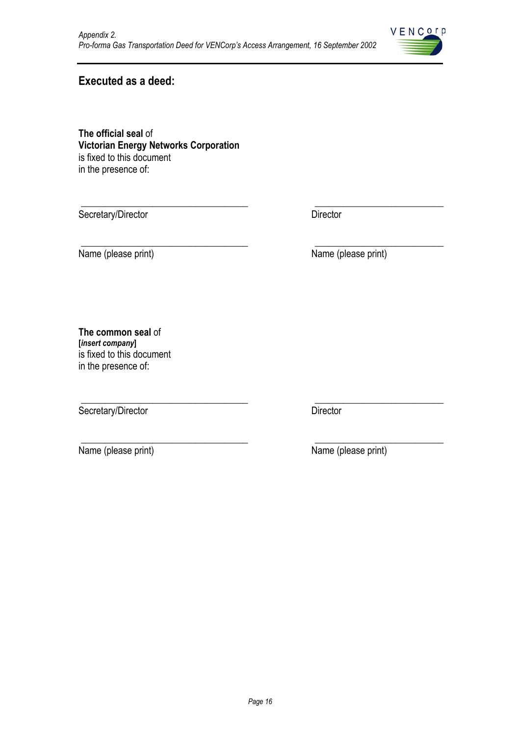

# **Executed as a deed:**

**The official seal** of **Victorian Energy Networks Corporation**  is fixed to this document in the presence of:

\_\_\_\_\_\_\_\_\_\_\_\_\_\_\_\_\_\_\_\_\_\_\_\_\_\_\_\_\_\_\_\_\_\_\_ \_\_\_\_\_\_\_\_\_\_\_\_\_\_\_\_\_\_\_\_\_\_\_\_\_\_\_ Secretary/Director Director Director

\_\_\_\_\_\_\_\_\_\_\_\_\_\_\_\_\_\_\_\_\_\_\_\_\_\_\_\_\_\_\_\_\_\_\_ \_\_\_\_\_\_\_\_\_\_\_\_\_\_\_\_\_\_\_\_\_\_\_\_\_\_\_

\_\_\_\_\_\_\_\_\_\_\_\_\_\_\_\_\_\_\_\_\_\_\_\_\_\_\_\_\_\_\_\_\_\_\_ \_\_\_\_\_\_\_\_\_\_\_\_\_\_\_\_\_\_\_\_\_\_\_\_\_\_\_

Name (please print) Name (please print)

**The common seal** of **[***insert company***]** is fixed to this document in the presence of:

Secretary/Director Director Director

\_\_\_\_\_\_\_\_\_\_\_\_\_\_\_\_\_\_\_\_\_\_\_\_\_\_\_\_\_\_\_\_\_\_\_ \_\_\_\_\_\_\_\_\_\_\_\_\_\_\_\_\_\_\_\_\_\_\_\_\_\_\_ Name (please print) Name (please print)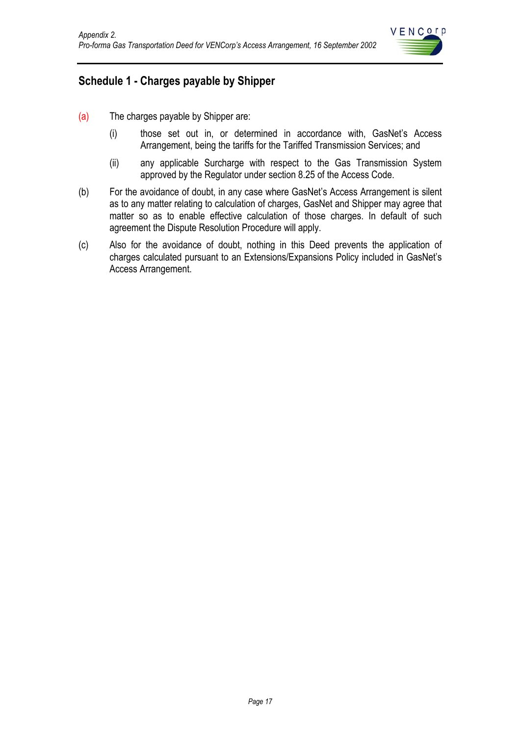

# <span id="page-17-0"></span>**Schedule 1 - Charges payable by Shipper**

- (a) The charges payable by Shipper are:
	- (i) those set out in, or determined in accordance with, GasNet's Access Arrangement, being the tariffs for the Tariffed Transmission Services; and
	- (ii) any applicable Surcharge with respect to the Gas Transmission System approved by the Regulator under section 8.25 of the Access Code.
- (b) For the avoidance of doubt, in any case where GasNet's Access Arrangement is silent as to any matter relating to calculation of charges, GasNet and Shipper may agree that matter so as to enable effective calculation of those charges. In default of such agreement the Dispute Resolution Procedure will apply.
- (c) Also for the avoidance of doubt, nothing in this Deed prevents the application of charges calculated pursuant to an Extensions/Expansions Policy included in GasNet's Access Arrangement.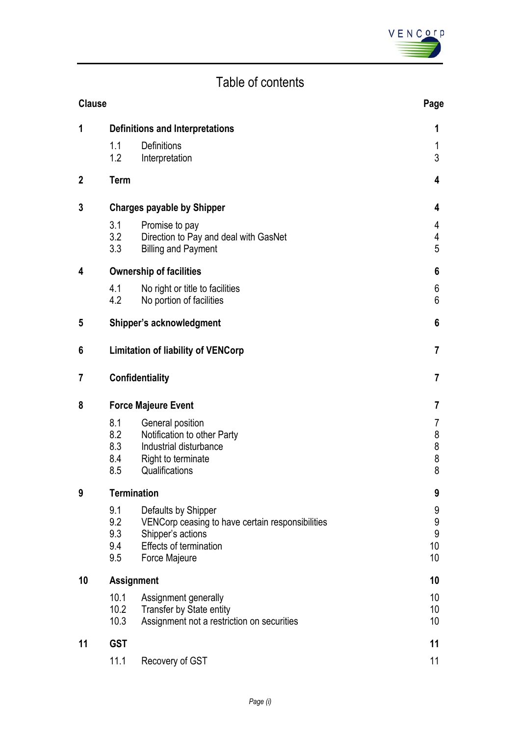

# Table of contents

| <b>Clause</b> |                                 |                                                                                                                                         | Page                                                  |  |
|---------------|---------------------------------|-----------------------------------------------------------------------------------------------------------------------------------------|-------------------------------------------------------|--|
| 1             |                                 | <b>Definitions and Interpretations</b>                                                                                                  |                                                       |  |
|               | 1.1<br>1.2                      | Definitions<br>Interpretation                                                                                                           | 1<br>3                                                |  |
| $\mathbf{2}$  | <b>Term</b>                     |                                                                                                                                         | 4                                                     |  |
| 3             |                                 | <b>Charges payable by Shipper</b>                                                                                                       |                                                       |  |
|               | 3.1<br>3.2<br>3.3               | Promise to pay<br>Direction to Pay and deal with GasNet<br><b>Billing and Payment</b>                                                   | 4<br>4<br>5                                           |  |
| 4             |                                 | <b>Ownership of facilities</b>                                                                                                          |                                                       |  |
|               | 4.1<br>4.2                      | No right or title to facilities<br>No portion of facilities                                                                             | 6<br>6                                                |  |
| 5             |                                 | Shipper's acknowledgment                                                                                                                | 6                                                     |  |
| 6             |                                 | <b>Limitation of liability of VENCorp</b>                                                                                               | 7                                                     |  |
| 7             | Confidentiality                 |                                                                                                                                         | $\overline{7}$                                        |  |
| 8             |                                 | <b>Force Majeure Event</b>                                                                                                              |                                                       |  |
|               | 8.1<br>8.2<br>8.3<br>8.4<br>8.5 | General position<br>Notification to other Party<br>Industrial disturbance<br>Right to terminate<br>Qualifications                       | 7<br>8<br>8<br>8<br>8                                 |  |
| 9             |                                 | <b>Termination</b>                                                                                                                      |                                                       |  |
|               | 9.1<br>9.2<br>9.3<br>9.4<br>9.5 | Defaults by Shipper<br>VENCorp ceasing to have certain responsibilities<br>Shipper's actions<br>Effects of termination<br>Force Majeure | 9<br>$\boldsymbol{9}$<br>$\boldsymbol{9}$<br>10<br>10 |  |
| 10            |                                 | <b>Assignment</b>                                                                                                                       |                                                       |  |
|               | 10.1<br>10.2<br>10.3            | Assignment generally<br>Transfer by State entity<br>Assignment not a restriction on securities                                          | 10<br>10<br>10                                        |  |
| 11            | <b>GST</b>                      |                                                                                                                                         | 11                                                    |  |
|               | 11.1                            | Recovery of GST                                                                                                                         | 11                                                    |  |